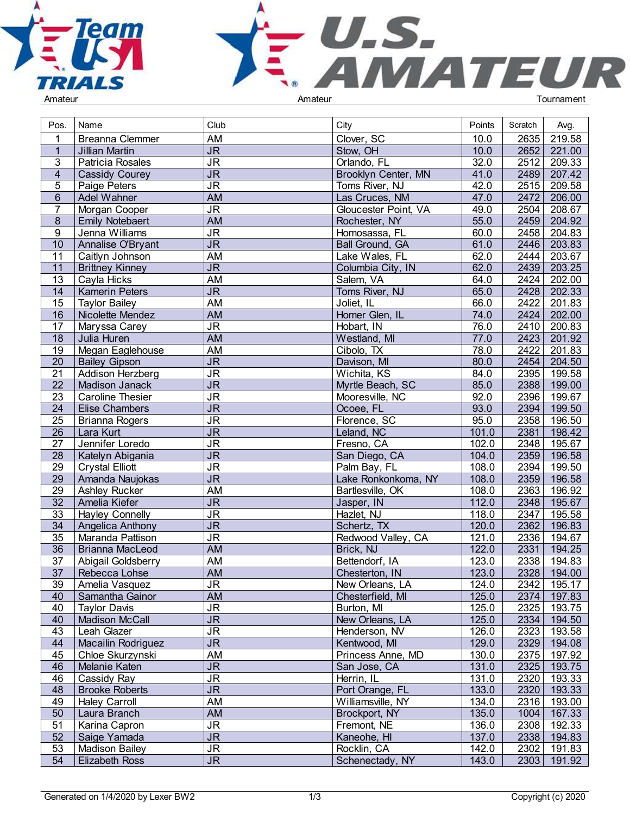



| Pos.                               | Name                                      | Club                                                                   | City                          | Points         | Scratch      | Avg.             |  |
|------------------------------------|-------------------------------------------|------------------------------------------------------------------------|-------------------------------|----------------|--------------|------------------|--|
|                                    | <b>Breanna Clemmer</b>                    | AM                                                                     | Clover, SC                    | 10.0           | 2635         | 219.58           |  |
| 1                                  | Jillian Martin                            | $\overline{\mathsf{JR}}$                                               | Stow, OH                      | 10.0           | 2652         | 221.00           |  |
| 3                                  | Patricia Rosales                          | $\overline{\mathsf{J}\mathsf{R}}$                                      | Orlando, FL                   | 32.0           | 2512         | 209.33           |  |
| $\overline{4}$                     | Cassidy Courey                            | $\overline{\mathsf{J}\mathsf{R}}$                                      | Brooklyn Center, MN           | 41.0           | 2489         | 207.42           |  |
| 5                                  | Paige Peters                              | <b>JR</b>                                                              | Toms River, NJ                | 42.0           | 2515         | 209.58           |  |
| $\,6\,$                            | Adel Wahner                               | <b>AM</b>                                                              | Las Cruces, NM                | 47.0           | 2472         | 206.00           |  |
| $\overline{7}$                     | Morgan Cooper                             | $\overline{\mathsf{J}\mathsf{R}}$                                      | Gloucester Point, VA          | 49.0           | 2504         | 208.67           |  |
| $\boldsymbol{8}$                   | <b>Emily Notebaert</b>                    | <b>AM</b>                                                              | Rochester, NY                 | 55.0           | 2459         | 204.92           |  |
| 9                                  | Jenna Williams                            | $\overline{\mathsf{J}\mathsf{R}}$                                      | Homosassa, FL                 | 60.0           | 2458         | 204.83           |  |
| 10                                 | Annalise O'Bryant                         | $\overline{\mathsf{JR}}$                                               | Ball Ground, GA               | 61.0           | 2446         | 203.83           |  |
| 11                                 | Caitlyn Johnson                           | AM                                                                     | Lake Wales, FL                | 62.0           | 2444         | 203.67           |  |
| 11                                 | <b>Brittney Kinney</b>                    | $\overline{\mathsf{JR}}$                                               | Columbia City, IN             | 62.0           | 2439         | 203.25           |  |
| $\overline{13}$                    | Cayla Hicks                               | <b>AM</b>                                                              | Salem, VA                     | 64.0           | 2424         | 202.00           |  |
| 14                                 | <b>Kamerin Peters</b>                     | J <sub>R</sub>                                                         | Toms River, NJ                | 65.0           | 2428         | 202.33           |  |
| 15                                 | <b>Taylor Bailey</b>                      | AM                                                                     | Joliet, IL                    | 66.0           | 2422         | 201.83           |  |
| 16                                 | Nicolette Mendez                          | <b>AM</b>                                                              | Homer Glen, IL                | 74.0           | 2424         | 202.00           |  |
| 17                                 |                                           | $\overline{\mathsf{J}\mathsf{R}}$                                      | Hobart, IN                    | 76.0           | 2410         | 200.83           |  |
| $\overline{18}$                    | Maryssa Carey<br>Julia Huren              | <b>AM</b>                                                              | Westland, MI                  | 77.0           | 2423         | 201.92           |  |
| 19                                 |                                           | <b>AM</b>                                                              | Cibolo, TX                    | 78.0           | 2422         | 201.83           |  |
| 20                                 | Megan Eaglehouse<br><b>Bailey Gipson</b>  | $\overline{\mathsf{JR}}$                                               | Davison, MI                   | 80.0           | 2454         | 204.50           |  |
| 21                                 |                                           | $\overline{\mathsf{J}\mathsf{R}}$                                      | Wichita, KS                   | 84.0           | 2395         | 199.58           |  |
|                                    | Addison Herzberg                          | J <sub>R</sub>                                                         |                               |                |              |                  |  |
| 22<br>$\overline{23}$              | Madison Janack<br><b>Caroline Thesier</b> | $\overline{\mathsf{J}\mathsf{R}}$                                      | Myrtle Beach, SC              | 85.0<br>92.0   | 2388<br>2396 | 199.00           |  |
| $\overline{24}$                    | <b>Elise Chambers</b>                     | $\overline{\mathsf{J}\mathsf{R}}$                                      | Mooresville, NC               | 93.0           | 2394         | 199.67<br>199.50 |  |
|                                    |                                           |                                                                        | Ocoee, FL                     |                | 2358         |                  |  |
| 25<br>$\overline{26}$              | <b>Brianna Rogers</b><br>Lara Kurt        | <b>JR</b><br>$\overline{\mathsf{J}\mathsf{R}}$                         | Florence, SC<br>Leland, NC    | 95.0<br>101.0  | 2381         | 196.50<br>198.42 |  |
|                                    |                                           |                                                                        |                               |                |              |                  |  |
| 27                                 | Jennifer Loredo                           | $\overline{\mathsf{J}\mathsf{R}}$                                      | Fresno, CA                    | 102.0          | 2348         | 195.67           |  |
| $\overline{28}$<br>$\overline{29}$ | Katelyn Abigania                          | $\overline{\mathsf{JR}}$<br>$\overline{\mathsf{J}\mathsf{R}}$          | San Diego, CA<br>Palm Bay, FL | 104.0<br>108.0 | 2359<br>2394 | 196.58<br>199.50 |  |
|                                    | <b>Crystal Elliott</b>                    | $\overline{\mathsf{JR}}$                                               |                               |                |              |                  |  |
| $\overline{29}$                    | Amanda Naujokas                           |                                                                        | Lake Ronkonkoma, NY           | 108.0          | 2359         | 196.58           |  |
| 29                                 | Ashley Rucker                             | <b>AM</b>                                                              | Bartlesville, OK              | 108.0          | 2363         | 196.92           |  |
| 32                                 | Amelia Kiefer                             | <b>JR</b>                                                              | Jasper, IN                    | 112.0          | 2348         | 195.67           |  |
| $\overline{33}$                    | <b>Hayley Connelly</b>                    | $\overline{\mathsf{J}\mathsf{R}}$<br>$\overline{\mathsf{J}\mathsf{R}}$ | Hazlet, NJ                    | 118.0          | 2347         | 195.58           |  |
| $\overline{34}$                    | Angelica Anthony                          |                                                                        | Schertz, TX                   | 120.0          | 2362         | 196.83           |  |
| 35                                 | Maranda Pattison                          | <b>JR</b>                                                              | Redwood Valley, CA            | 121.0          | 2336         | 194.67           |  |
| $\overline{36}$                    | <b>Brianna MacLeod</b>                    | <b>AM</b>                                                              | Brick, NJ                     | 122.0          | 2331         | 194.25           |  |
| 37                                 | Abigail Goldsberry                        | AM                                                                     | Bettendorf, IA                | 123.0          | 2338         | 194.83           |  |
| $\overline{37}$                    | Rebecca Lohse                             | <b>AM</b>                                                              | Chesterton, IN                | 123.0          | 2328         | 194.00           |  |
| 39                                 | Amelia Vasquez                            | <b>JR</b>                                                              | New Orleans, LA               | 124.0          |              | 2342 195.17      |  |
| 40                                 | Samantha Gainor                           | <b>AM</b>                                                              | Chesterfield, MI              | 125.0          | 2374         | 197.83           |  |
| 40                                 | <b>Taylor Davis</b>                       | <b>JR</b>                                                              | Burton, MI                    | 125.0          | 2325         | 193.75           |  |
| 40                                 | <b>Madison McCall</b>                     | $\overline{\mathsf{J}\mathsf{R}}$                                      | New Orleans, LA               | 125.0          | 2334         | 194.50           |  |
| 43                                 | Leah Glazer                               | $\overline{\mathsf{JR}}$                                               | Henderson, NV                 | 126.0          | 2323         | 193.58           |  |
| 44                                 | Macailin Rodriguez                        | $\overline{\mathsf{JR}}$                                               | Kentwood, MI                  | 129.0          | 2329         | 194.08           |  |
| 45                                 | Chloe Skurzynski                          | AM                                                                     | Princess Anne, MD             | 130.0          | 2375         | 197.92           |  |
| 46                                 | Melanie Katen                             | $\overline{\mathsf{JR}}$                                               | San Jose, CA                  | 131.0          | 2325         | 193.75           |  |
| 46                                 | Cassidy Ray                               | <b>JR</b>                                                              | Herrin, IL                    | 131.0          | 2320         | 193.33           |  |
| 48                                 | <b>Brooke Roberts</b>                     | J <sub>R</sub>                                                         | Port Orange, FL               | 133.0          | 2320         | 193.33           |  |
| 49                                 | <b>Haley Carroll</b>                      | AM                                                                     | Williamsville, NY             | 134.0          | 2316         | 193.00           |  |
| 50                                 | Laura Branch                              | AM                                                                     | Brockport, NY                 | 135.0          | 1004         | 167.33           |  |
| 51                                 | Karina Capron                             | $\overline{\mathsf{J}\mathsf{R}}$                                      | Fremont, NE                   | 136.0          | 2308         | 192.33           |  |
| 52                                 | Saige Yamada                              | $\overline{\mathsf{J}\mathsf{R}}$                                      | Kaneohe, HI                   | 137.0          | 2338         | 194.83           |  |
| 53                                 | <b>Madison Bailey</b>                     | <b>JR</b>                                                              | Rocklin, CA                   | 142.0          | 2302         | 191.83           |  |
| 54                                 | <b>Elizabeth Ross</b>                     | $\overline{\mathsf{JR}}$                                               | Schenectady, NY               | 143.0          | 2303         | 191.92           |  |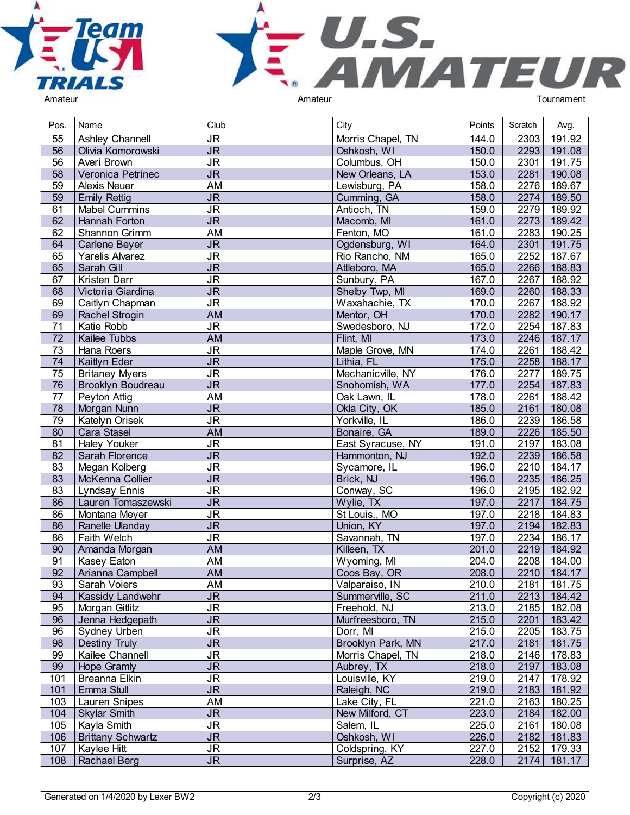



| Pos.            | Name                     | Club                              | City                     | Points | Scratch | Avg.        |  |
|-----------------|--------------------------|-----------------------------------|--------------------------|--------|---------|-------------|--|
| 55              | Ashley Channell          | <b>JR</b>                         | Morris Chapel, TN        | 144.0  | 2303    | 191.92      |  |
| $\overline{56}$ | Olivia Komorowski        | $\overline{\mathsf{J}\mathsf{R}}$ | Oshkosh, WI              | 150.0  | 2293    | 191.08      |  |
| 56              | Averi Brown              | $\overline{\mathsf{J}\mathsf{R}}$ | Columbus, OH             | 150.0  | 2301    | 191.75      |  |
| $\overline{58}$ | Veronica Petrinec        | $\overline{\mathsf{J}\mathsf{R}}$ | New Orleans, LA          | 153.0  | 2281    | 190.08      |  |
| 59              | <b>Alexis Neuer</b>      | AM                                | Lewisburg, PA            | 158.0  | 2276    | 189.67      |  |
| 59              | <b>Emily Rettig</b>      | <b>JR</b>                         | Cumming, GA              | 158.0  | 2274    | 189.50      |  |
| 61              | <b>Mabel Cummins</b>     | JR                                | Antioch, TN              | 159.0  | 2279    | 189.92      |  |
| 62              | Hannah Forton            | $\overline{\mathsf{J}\mathsf{R}}$ |                          | 161.0  | 2273    | 189.42      |  |
|                 |                          |                                   | Macomb, MI<br>Fenton, MO |        |         |             |  |
| 62              | Shannon Grimm            | AM                                |                          | 161.0  | 2283    | 190.25      |  |
| 64              | Carlene Beyer            | <b>JR</b>                         | Ogdensburg, WI           | 164.0  | 2301    | 191.75      |  |
| 65              | Yarelis Alvarez          | <b>JR</b>                         | Rio Rancho, NM           | 165.0  | 2252    | 187.67      |  |
| 65              | Sarah Gill               | $\overline{\mathsf{J}\mathsf{R}}$ | Attleboro, MA            | 165.0  | 2266    | 188.83      |  |
| 67              | Kristen Derr             | $\overline{\mathsf{J}\mathsf{R}}$ | Sunbury, PA              | 167.0  | 2267    | 188.92      |  |
| 68              | Victoria Giardina        | $J\overline{R}$                   | Shelby Twp, MI           | 169.0  | 2260    | 188.33      |  |
| 69              | Caitlyn Chapman          | $\overline{\mathsf{J}\mathsf{R}}$ | Waxahachie, TX           | 170.0  | 2267    | 188.92      |  |
| 69              | Rachel Strogin           | <b>AM</b>                         | Mentor, OH               | 170.0  | 2282    | 190.17      |  |
| 71              | Katie Robb               | $\overline{\mathsf{J}\mathsf{R}}$ | Swedesboro, NJ           | 172.0  | 2254    | 187.83      |  |
| $\overline{72}$ | Kailee Tubbs             | <b>AM</b>                         | Flint, MI                | 173.0  | 2246    | 187.17      |  |
| 73              | Hana Roers               | <b>JR</b>                         | Maple Grove, MN          | 174.0  | 2261    | 188.42      |  |
| 74              | Kaitlyn Eder             | $\overline{\mathsf{J}\mathsf{R}}$ | Lithia, FL               | 175.0  | 2258    | 188.17      |  |
| 75              | <b>Britaney Myers</b>    | <b>JR</b>                         | Mechanicville, NY        | 176.0  | 2277    | 189.75      |  |
| 76              | <b>Brooklyn Boudreau</b> | J <sub>R</sub>                    | Snohomish, WA            | 177.0  | 2254    | 187.83      |  |
| 77              | Peyton Attig             | <b>AM</b>                         | Oak Lawn, IL             | 178.0  | 2261    | 188.42      |  |
| 78              | Morgan Nunn              | $\overline{\mathsf{J}\mathsf{R}}$ | Okla City, OK            | 185.0  | 2161    | 180.08      |  |
| 79              | Katelyn Orisek           | $\overline{\mathsf{J}\mathsf{R}}$ | Yorkville, IL            | 186.0  | 2239    | 186.58      |  |
| 80              | Cara Stasel              | <b>AM</b>                         | Bonaire, GA              | 189.0  | 2226    | 185.50      |  |
| 81              | <b>Haley Youker</b>      | $\overline{\mathsf{J}\mathsf{R}}$ | East Syracuse, NY        | 191.0  | 2197    | 183.08      |  |
| $\overline{82}$ | Sarah Florence           | $\overline{\mathsf{J}\mathsf{R}}$ | Hammonton, NJ            | 192.0  | 2239    | 186.58      |  |
| $\overline{83}$ | Megan Kolberg            | $\overline{\mathsf{J}\mathsf{R}}$ | Sycamore, IL             | 196.0  | 2210    | 184.17      |  |
| 83              | McKenna Collier          | $\overline{\mathsf{J}\mathsf{R}}$ | Brick, NJ                | 196.0  | 2235    | 186.25      |  |
| 83              | <b>Lyndsay Ennis</b>     | <b>JR</b>                         | Conway, SC               | 196.0  | 2195    | 182.92      |  |
| $\overline{86}$ | Lauren Tomaszewski       | $\overline{\mathsf{J}\mathsf{R}}$ | Wylie, TX                | 197.0  | 2217    | 184.75      |  |
| 86              | Montana Meyer            | $\overline{\mathsf{J}\mathsf{R}}$ | St Louis,, MO            | 197.0  | 2218    | 184.83      |  |
| $\overline{86}$ | Ranelle Ulanday          | $\overline{\mathsf{J}\mathsf{R}}$ | Union, KY                | 197.0  | 2194    | 182.83      |  |
| 86              | Faith Welch              | $\overline{\mathsf{J}\mathsf{R}}$ | Savannah, TN             | 197.0  | 2234    | 186.17      |  |
| 90              | Amanda Morgan            | <b>AM</b>                         | Killeen, TX              | 201.0  | 2219    | 184.92      |  |
| 91              | Kasey Eaton              | <b>AM</b>                         | Wyoming, MI              | 204.0  | 2208    | 184.00      |  |
| 92              | Arianna Campbell         | <b>AM</b>                         | Coos Bay, OR             | 208.0  | 2210    | 184.17      |  |
| 93              | Sarah Voiers             | AM                                | Valparaiso, IN           | 210.0  |         | 2181 181.75 |  |
| 94              | Kassidy Landwehr         | <b>JR</b>                         | Summerville, SC          | 211.0  | 2213    | 184.42      |  |
| 95              | Morgan Gitlitz           | <b>JR</b>                         | Freehold, NJ             | 213.0  |         | 2185 182.08 |  |
| 96              | Jenna Hedgepath          | J <sub>R</sub>                    | Murfreesboro, TN         | 215.0  | 2201    | 183.42      |  |
| 96              | Sydney Urben             | $\overline{\mathsf{J}\mathsf{R}}$ | Dorr, MI                 | 215.0  | 2205    | 183.75      |  |
| 98              | Destiny Truly            | $\overline{\mathsf{J}\mathsf{R}}$ | Brooklyn Park, MN        | 217.0  | 2181    | 181.75      |  |
| 99              | Kailee Channell          | <b>JR</b>                         | Morris Chapel, TN        | 218.0  | 2146    | 178.83      |  |
| 99              | Hope Gramly              | <b>JR</b>                         | Aubrey, TX               | 218.0  | 2197    | 183.08      |  |
| 101             | Breanna Elkin            | $\overline{\mathsf{J}\mathsf{R}}$ | Louisville, KY           | 219.0  | 2147    | 178.92      |  |
| 101             | Emma Stull               | J <sub>R</sub>                    | Raleigh, NC              | 219.0  | 2183    | 181.92      |  |
| 103             | Lauren Snipes            | AM                                | Lake City, FL            | 221.0  | 2163    | 180.25      |  |
| 104             | Skylar Smith             | <b>JR</b>                         | New Milford, CT          | 223.0  |         | 2184 182.00 |  |
| 105             | Kayla Smith              | <b>JR</b>                         | Salem, IL                | 225.0  | 2161    | 180.08      |  |
| 106             | <b>Brittany Schwartz</b> | $\overline{\mathsf{JR}}$          | Oshkosh, WI              | 226.0  | 2182    | 181.83      |  |
| 107             | Kaylee Hitt              | <b>JR</b>                         | Coldspring, KY           | 227.0  | 2152    | 179.33      |  |
| 108             | Rachael Berg             | $\overline{\mathsf{JR}}$          | Surprise, AZ             | 228.0  | 2174    | 181.17      |  |
|                 |                          |                                   |                          |        |         |             |  |